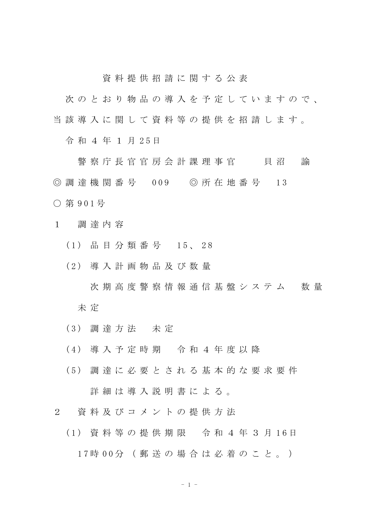資 料 提 供 招 請 に 関 す る 公 表

次のとおり物品の導入を予定していますので、 当 該 導 入 に 関 し て 資 料 等 の 提 供 を 招 請 し ま す 。

令和 4年 1 月 25日

警 察 庁 長 官 官 房 会 計 課 理 事 官 て て 貝 沼 の 諭 ◎ 調 達 機 関 番 号 009 ◎ 所 在 地 番 号 13 ○ 第 9 0 1 号

- 1 調 達 内 容
	- ( 1 ) 品 目 分 類 番 号 1 5 、 2 8
	- ( 2 ) 導 入 計 画 物 品 及 び 数 量

次 期 高 度 警 察 情 報 通 信 基 盤 シ ス テ ム の数 量 未 定

- ( 3 ) 調 達 方 法 未 定
- ( 4 ) 導 入 予 定 時 期 令 和 4 年 度 以 降
- ( 5 ) 調 達 に 必 要 と さ れ る 基 本 的 な 要 求 要 件 詳 細 は 導 入 説 明 書 に よ る 。
- 2 資 料 及 び コ メ ン ト の 提 供 方 法
	- (1) 資料等の提供期限 令和4年3月16日 17時 00分 (郵送の場合は必着のこと。)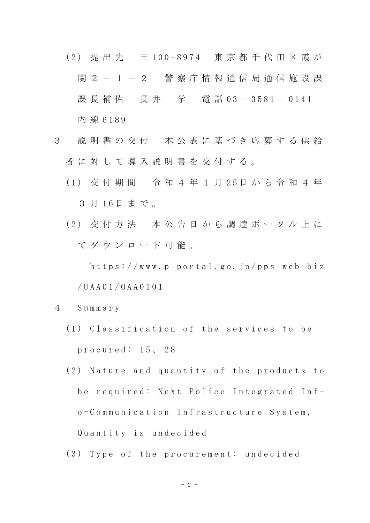- (2) 提 出 先 〒 100-8974 東 京 都 千 代 田 区 霞 が 関 2 - 1 - 2 警 察 庁 情 報 通 信 局 通 信 施 設 課 課 長 補 佐 長 井 学 電 話 03-3581-0141 内 線 6 1 8 9
- 3 説 明 書 の 交 付 本 公 表 に 基 づ き 応 募 す る 供 給 者に対して導入説明書を交付する。
	- ( 1 ) 交 付 期 間 令 和 4 年 1 月 2 5 日 か ら 令 和 4 年 3 月 16日まで。
	- (2) 交付方法 本公告日から調達ポータル上に て ダ ウ ン ロ ー ド 可 能 。

 $h$ ttps://www.p-portal.go.jp/pps-web-biz / U A A 0 1 / O A A 0 1 0 1

- 4 S u m m a r y
	- (1) Classification of the services to be procured: 15, 28
	- (2) Nature and quantity of the products to be required: Next Police Integrated Info - C o m m u n i c a t i o n I n f r a s t r u c t u r e S y s t e m , Quantity is undecided
	- (3) Type of the procurement: undecided